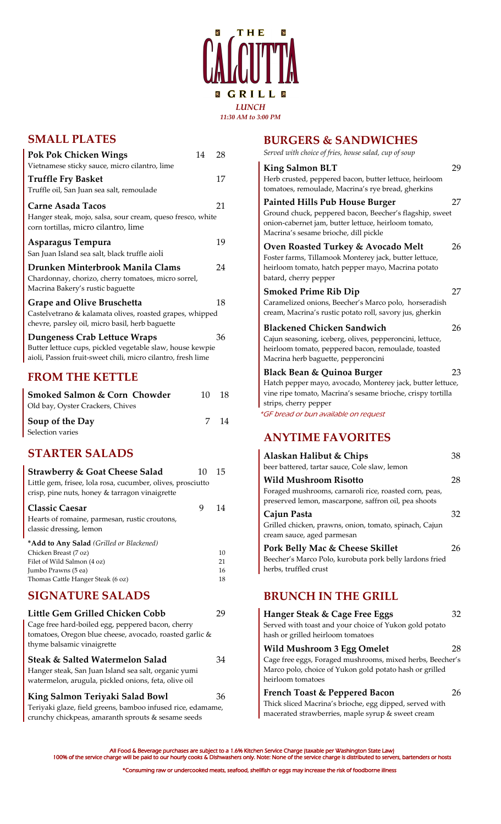

## **SMALL PLATES**

| Pok Pok Chicken Wings                                                                                                                                     | 14 | 28 |
|-----------------------------------------------------------------------------------------------------------------------------------------------------------|----|----|
| Vietnamese sticky sauce, micro cilantro, lime<br><b>Truffle Fry Basket</b><br>Truffle oil, San Juan sea salt, remoulade                                   |    | 17 |
| Carne Asada Tacos<br>Hanger steak, mojo, salsa, sour cream, queso fresco, white<br>corn tortillas, micro cilantro, lime                                   |    | 21 |
| Asparagus Tempura<br>San Juan Island sea salt, black truffle aioli                                                                                        |    | 19 |
| Drunken Minterbrook Manila Clams<br>Chardonnay, chorizo, cherry tomatoes, micro sorrel,<br>Macrina Bakery's rustic baguette                               |    | 24 |
| <b>Grape and Olive Bruschetta</b><br>Castelvetrano & kalamata olives, roasted grapes, whipped<br>chevre, parsley oil, micro basil, herb baguette          |    | 18 |
| Dungeness Crab Lettuce Wraps<br>Butter lettuce cups, pickled vegetable slaw, house kewpie<br>aioli, Passion fruit-sweet chili, micro cilantro, fresh lime |    | 36 |

# **FROM THE KETTLE**

| Smoked Salmon & Corn Chowder     | 10 | 18  |
|----------------------------------|----|-----|
| Old bay, Oyster Crackers, Chives |    |     |
| Soup of the Day                  | 7  | -14 |
| Selection varies                 |    |     |

## **STARTER SALADS**

| <b>Strawberry &amp; Goat Cheese Salad</b>                   | 10 | 15 |
|-------------------------------------------------------------|----|----|
| Little gem, frisee, lola rosa, cucumber, olives, prosciutto |    |    |
| crisp, pine nuts, honey & tarragon vinaigrette              |    |    |
| <b>Classic Caesar</b>                                       | 9  | 14 |
| Hearts of romaine, parmesan, rustic croutons,               |    |    |
| classic dressing, lemon                                     |    |    |
| *Add to Any Salad (Grilled or Blackened)                    |    |    |
| Chicken Breast (7 oz)                                       |    | 10 |
| Filet of Wild Salmon (4 oz)                                 |    | 21 |
| Jumbo Prawns (5 ea)                                         |    | 16 |
| Thomas Cattle Hanger Steak (6 oz)                           |    | 18 |
| <b>SIGNATURE SALADS</b>                                     |    |    |

| Little Gem Grilled Chicken Cobb<br>Cage free hard-boiled egg, peppered bacon, cherry<br>tomatoes, Oregon blue cheese, avocado, roasted garlic &<br>thyme balsamic vinaigrette | 79 |
|-------------------------------------------------------------------------------------------------------------------------------------------------------------------------------|----|
| Steak & Salted Watermelon Salad<br>Hanger steak, San Juan Island sea salt, organic yumi<br>watermelon, arugula, pickled onions, feta, olive oil                               | 34 |
| King Salmon Teriyaki Salad Bowl                                                                                                                                               | 36 |
| Teriyaki glaze, field greens, bamboo infused rice, edamame,<br>crunchy chickpeas, amaranth sprouts & sesame seeds                                                             |    |

| <b>BURGERS &amp; SANDWICHES</b>                                                                                                                          |    |
|----------------------------------------------------------------------------------------------------------------------------------------------------------|----|
| Served with choice of fries, house salad, cup of soup                                                                                                    |    |
| <b>King Salmon BLT</b>                                                                                                                                   | 29 |
| Herb crusted, peppered bacon, butter lettuce, heirloom<br>tomatoes, remoulade, Macrina's rye bread, gherkins                                             |    |
| <b>Painted Hills Pub House Burger</b>                                                                                                                    | 27 |
| Ground chuck, peppered bacon, Beecher's flagship, sweet<br>onion-cabernet jam, butter lettuce, heirloom tomato,<br>Macrina's sesame brioche, dill pickle |    |
| Oven Roasted Turkey & Avocado Melt                                                                                                                       | 26 |
| Foster farms, Tillamook Monterey jack, butter lettuce,<br>heirloom tomato, hatch pepper mayo, Macrina potato                                             |    |
| batard, cherry pepper                                                                                                                                    |    |
| <b>Smoked Prime Rib Dip</b>                                                                                                                              | 27 |
| Caramelized onions, Beecher's Marco polo, horseradish<br>cream, Macrina's rustic potato roll, savory jus, gherkin                                        |    |
| <b>Blackened Chicken Sandwich</b>                                                                                                                        | 26 |
| Cajun seasoning, iceberg, olives, pepperoncini, lettuce,                                                                                                 |    |
| heirloom tomato, peppered bacon, remoulade, toasted                                                                                                      |    |
| Macrina herb baguette, pepperoncini                                                                                                                      |    |
| Black Bean & Quinoa Burger                                                                                                                               | 23 |
| Hatch pepper mayo, avocado, Monterey jack, butter lettuce,                                                                                               |    |
| vine ripe tomato, Macrina's sesame brioche, crispy tortilla                                                                                              |    |
| strips, cherry pepper                                                                                                                                    |    |
| *GF bread or bun available on request                                                                                                                    |    |
| <b>ANYTIME FAVORITES</b>                                                                                                                                 |    |
| $\Lambda$ laaleen Uslikat $\ell$ China                                                                                                                   | າວ |

| Alaskan Halibut & Chips                                                                                        | 38  |
|----------------------------------------------------------------------------------------------------------------|-----|
| beer battered, tartar sauce, Cole slaw, lemon                                                                  |     |
| <b>Wild Mushroom Risotto</b>                                                                                   | 28  |
| Foraged mushrooms, carnaroli rice, roasted corn, peas,<br>preserved lemon, mascarpone, saffron oil, pea shoots |     |
| Cajun Pasta                                                                                                    | 32  |
| Grilled chicken, prawns, onion, tomato, spinach, Cajun<br>cream sauce, aged parmesan                           |     |
| Pork Belly Mac & Cheese Skillet                                                                                | 26  |
| Beecher's Marco Polo, kurobuta pork belly lardons fried<br>herbs, truffled crust                               |     |
| <b>BRUNCH IN THE GRILL</b>                                                                                     |     |
| Hanger Steak & Cage Free Eggs                                                                                  | 32. |
| Served with toast and your choice of Yukon gold potato<br>hash or grilled heirloom tomatoes                    |     |
| $\frac{1}{2}$                                                                                                  |     |

**Wild Mushroom 3 Egg Omelet** 28 Cage free eggs, Foraged mushrooms, mixed herbs, Beecher's Marco polo, choice of Yukon gold potato hash or grilled heirloom tomatoes

### **French Toast & Peppered Bacon** 26 Thick sliced Macrina's brioche, egg dipped, served with

macerated strawberries, maple syrup & sweet cream

All Food & Beverage purchases are subject to a 1.6% Kitchen Service Charge (taxable per Washington State Law)<br>100% of the service charge will be paid to our hourly cooks & Dishwashers only. Note: None of the service charge \*Consuming raw or undercooked meats, seafood, shellfish or eggs may increase the risk of foodborne illness